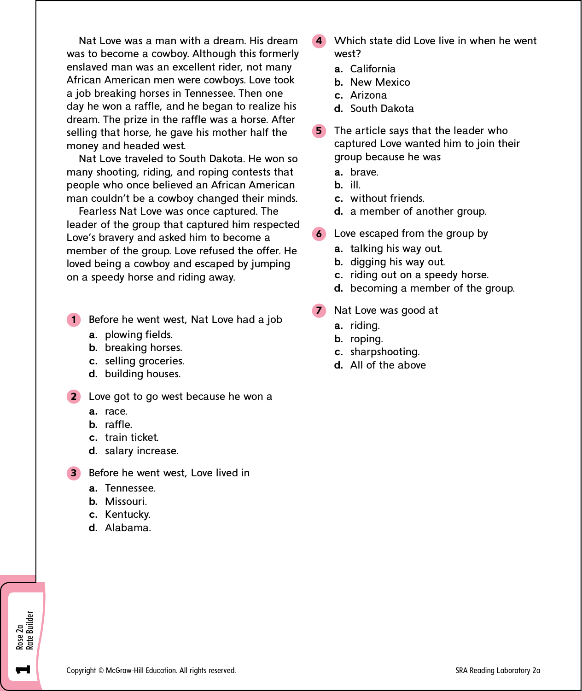Nat Love was a man with a dream. His dream was to become a cowboy. Although this formerly enslaved man was an excellent rider, not many African American men were cowboys. Love took a job breaking horses in Tennessee. Then one day he won a raffle, and he began to realize his dream. The prize in the raffle was a horse. After selling that horse, he gave his mother half the money and headed west.

Nat Love traveled to South Dakota. He won so many shooting, riding, and roping contests that people who once believed an African American man couldn't be a cowboy changed their minds.

Fearless Nat Love was once captured. The leader of the group that captured him respected Love's bravery and asked him to become a member of the group. Love refused the offer. He loved being a cowboy and escaped by jumping on a speedy horse and riding away.

- 1 Before he went west, Nat Love had a job
	- **a.** plowing fields.
	- **b.** breaking horses.
	- **c.** selling groceries.
	- **d.** building houses.
- **2** Love got to go west because he won a
	- **a.** race.
	- **b.** raffle.
	- **c.** train ticket.
	- **d.** salary increase.
- **3** Before he went west, Love lived in
	- **a.** Tennessee.
	- **b.** Missouri.
	- **c.** Kentucky.
	- **d.** Alabama.

Rose 2a<br>Rate Builder Rate Builder

**1**

- 4 Which state did Love live in when he went west?
	- **a.** California
	- **b.** New Mexico
	- **c.** Arizona
	- **d.** South Dakota
- **5** The article says that the leader who captured Love wanted him to join their group because he was
	- **a.** brave.
	- **b.** ill.
	- **c.** without friends.
	- **d.** a member of another group.
- 6 Love escaped from the group by
	- **a.** talking his way out.
	- **b.** digging his way out.
	- **c.** riding out on a speedy horse.
	- **d.** becoming a member of the group.
- Nat Love was good at
	- **a.** riding.
	- **b.** roping.
	- **c.** sharpshooting.
	- **d.** All of the above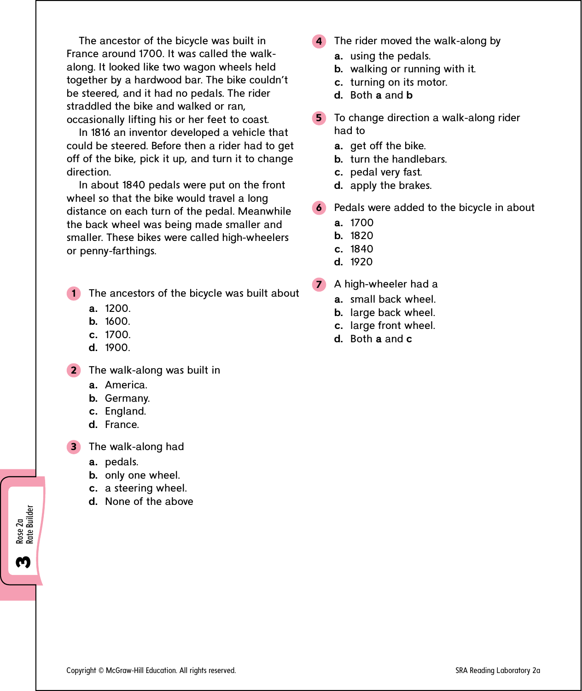The ancestor of the bicycle was built in France around 1700. It was called the walkalong. It looked like two wagon wheels held together by a hardwood bar. The bike couldn't be steered, and it had no pedals. The rider straddled the bike and walked or ran, occasionally lifting his or her feet to coast.

In 1816 an inventor developed a vehicle that could be steered. Before then a rider had to get off of the bike, pick it up, and turn it to change direction.

In about 1840 pedals were put on the front wheel so that the bike would travel a long distance on each turn of the pedal. Meanwhile the back wheel was being made smaller and smaller. These bikes were called high-wheelers or penny-farthings.

1 The ancestors of the bicycle was built about

- **a.** 1200.
- **b.** 1600.
- **c.** 1700.
- **d.** 1900.

2 The walk-along was built in

- **a.** America.
- **b.** Germany.
- **c.** England.
- **d.** France.

3 The walk-along had

- **a.** pedals.
- **b.** only one wheel.
- **c.** a steering wheel.
- **d.** None of the above
- 4 The rider moved the walk-along by
	- **a.** using the pedals.
	- **b.** walking or running with it.
	- **c.** turning on its motor.
	- **d.** Both **a** and **b**
- 5 To change direction a walk-along rider had to
	- **a.** get off the bike.
	- **b.** turn the handlebars.
	- **c.** pedal very fast.
	- **d.** apply the brakes.
- 6 Pedals were added to the bicycle in about
	- **a.** 1700
	- **b.** 1820
	- **c.** 1840
	- **d.** 1920
- 7 A high-wheeler had a
	- **a.** small back wheel.
	- **b.** large back wheel.
	- **c.** large front wheel.
	- **d.** Both **a** and **c**

Rose 2a<br>Rate Builder Rate Builder

<u>ო</u>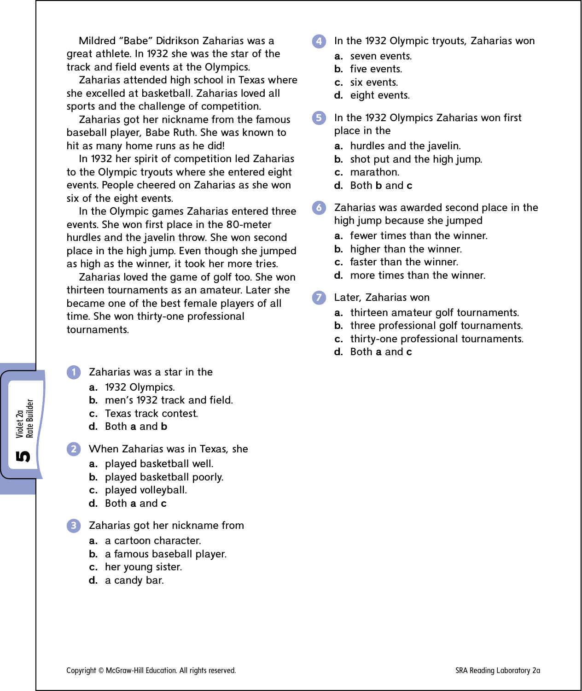Mildred "Babe" Didrikson Zaharias was a great athlete. In 1932 she was the star of the track and field events at the Olympics.

Zaharias attended high school in Texas where she excelled at basketball. Zaharias loved all sports and the challenge of competition.

Zaharias got her nickname from the famous baseball player, Babe Ruth. She was known to hit as many home runs as he did!

In 1932 her spirit of competition led Zaharias to the Olympic tryouts where she entered eight events. People cheered on Zaharias as she won six of the eight events.

In the Olympic games Zaharias entered three events. She won first place in the 80-meter hurdles and the javelin throw. She won second place in the high jump. Even though she jumped as high as the winner, it took her more tries.

Zaharias loved the game of golf too. She won thirteen tournaments as an amateur. Later she became one of the best female players of all time. She won thirty-one professional tournaments.

- Zaharias was a star in the
	- **a.** 1932 Olympics.
	- **b.** men's 1932 track and field.
	- **c.** Texas track contest.
	- **d.** Both **a** and **b**

Violet 2a<br>Rate Builder Rate Builder

**10** 

- 2 When Zaharias was in Texas, she
	- **a.** played basketball well.
	- **b.** played basketball poorly.
	- **c.** played volleyball.
	- **d.** Both **a** and **c**

3 Zaharias got her nickname from

- **a.** a cartoon character.
- **b.** a famous baseball player.
- **c.** her young sister.
- **d.** a candy bar.
- In the 1932 Olympic tryouts, Zaharias won
	- **a.** seven events.
	- **b.** five events.
	- **c.** six events.
	- **d.** eight events.
- 5 In the 1932 Olympics Zaharias won first place in the
	- **a.** hurdles and the javelin.
	- **b.** shot put and the high jump.
	- **c.** marathon.
	- **d.** Both **b** and **c**
- 6 Zaharias was awarded second place in the high jump because she jumped
	- **a.** fewer times than the winner.
	- **b.** higher than the winner.
	- **c.** faster than the winner.
	- **d.** more times than the winner.
	- 7 Later, Zaharias won
		- **a.** thirteen amateur golf tournaments.
		- **b.** three professional golf tournaments.
		- **c.** thirty-one professional tournaments.
		- **d.** Both **a** and **c**